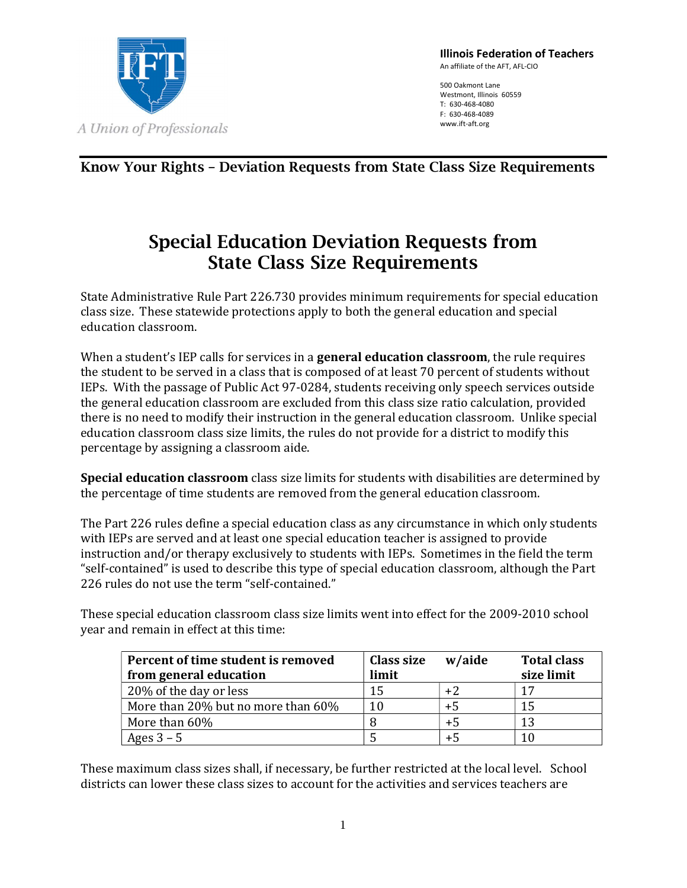

Illinois Federation of Teachers An affiliate of the AFT, AFL-CIO

500 Oakmont Lane Westmont, Illinois 60559 T: 630-468-4080 F: 630-468-4089 www.ift-aft.org

Know Your Rights – Deviation Requests from State Class Size Requirements

## Special Education Deviation Requests from State Class Size Requirements

State Administrative Rule Part 226.730 provides minimum requirements for special education class size. These statewide protections apply to both the general education and special education classroom.

When a student's IEP calls for services in a **general education classroom**, the rule requires the student to be served in a class that is composed of at least 70 percent of students without IEPs. With the passage of Public Act 97-0284, students receiving only speech services outside the general education classroom are excluded from this class size ratio calculation, provided there is no need to modify their instruction in the general education classroom. Unlike special education classroom class size limits, the rules do not provide for a district to modify this percentage by assigning a classroom aide.

Special education classroom class size limits for students with disabilities are determined by the percentage of time students are removed from the general education classroom.

The Part 226 rules define a special education class as any circumstance in which only students with IEPs are served and at least one special education teacher is assigned to provide instruction and/or therapy exclusively to students with IEPs. Sometimes in the field the term "self-contained" is used to describe this type of special education classroom, although the Part 226 rules do not use the term "self-contained."

These special education classroom class size limits went into effect for the 2009-2010 school year and remain in effect at this time:

| Percent of time student is removed | Class size | w/aide | <b>Total class</b> |
|------------------------------------|------------|--------|--------------------|
| from general education             | limit      |        | size limit         |
| 20% of the day or less             | 15         | $+2$   | 17                 |
| More than 20% but no more than 60% | 10         | $+5$   | 15                 |
| More than 60%                      |            | $+5$   | 13                 |
| Ages $3 - 5$                       |            | $+5$   |                    |

These maximum class sizes shall, if necessary, be further restricted at the local level. School districts can lower these class sizes to account for the activities and services teachers are